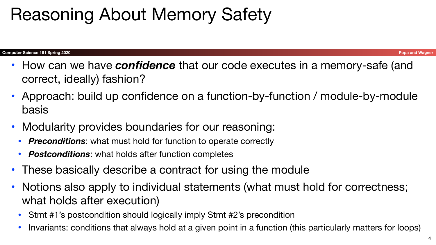- How can we have *confidence* that our code executes in a memory-safe (and correct, ideally) fashion?
- Approach: build up confidence on a function-by-function / module-by-module basis
- Modularity provides boundaries for our reasoning:
	- *Preconditions*: what must hold for function to operate correctly
	- *Postconditions*: what holds after function completes
- These basically describe a contract for using the module
- Notions also apply to individual statements (what must hold for correctness; what holds after execution)
	- Stmt #1's postcondition should logically imply Stmt #2's precondition
	- Invariants: conditions that always hold at a given point in a function (this particularly matters for loops)







## Reasoning About Memory Safety

#### **Computer Science 161 Spring 2020 Popa and Wagner**

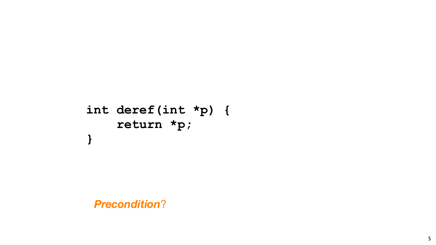5

### **int deref(int \*p) { return \*p; }**

*Precondition*?

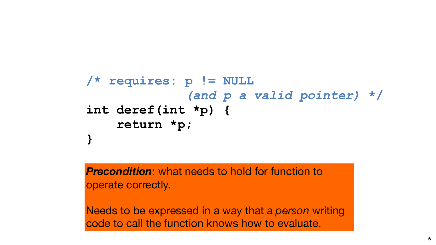

### **/\* requires: p != NULL** *(and p a valid pointer)* **\*/ int deref(int \*p) { return \*p; }**

#### *Precondition*: what needs to hold for function to

operate correctly.

Needs to be expressed in a way that a *person* writing code to call the function knows how to evaluate.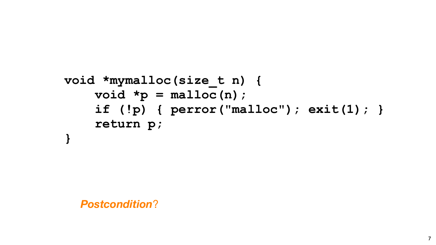

**void \*mymalloc(size\_t n) { void \*p = malloc(n); return p; }**

 **if (!p) { perror("malloc"); exit(1); }**



*Postcondition*?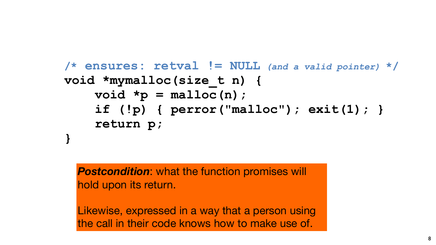

**/\* ensures: retval != NULL** *(and a valid pointer)* **\*/ if (!p) { perror("malloc"); exit(1); }**

## **void \*mymalloc(size\_t n) {**  $void *p = malloc(n);$  **return p; }**

*Postcondition*: what the function promises will hold upon its return.

Likewise, expressed in a way that a person using the call in their code knows how to make use of.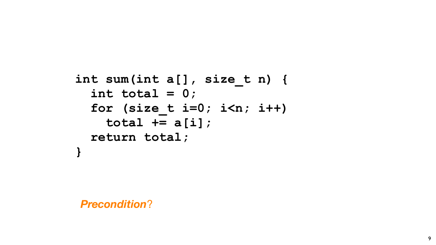

**int sum(int a[], size\_t n) { int total = 0; for (size\_t i=0; i<n; i++) total += a[i]; return total; }**

*Precondition*?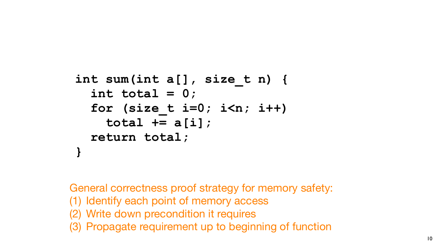

```
int sum(int a[], size_t n) {
   int total = 0;
   for (size_t i=0; i<n; i++)
     total += a[i];
   return total;
}
```
General correctness proof strategy for memory safety: (1) Identify each point of memory access (2) Write down precondition it requires (3) Propagate requirement up to beginning of function

- 
-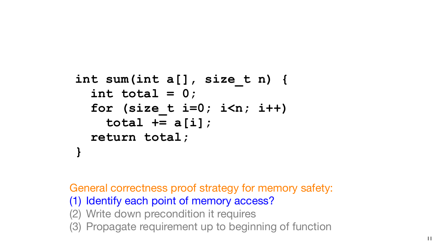11

### **int sum(int a[], size\_t n) { int total = 0; for (size\_t i=0; i<n; i++) total += a[i]; return total; }**

General correctness proof strategy for memory safety: (1) Identify each point of memory access? (2) Write down precondition it requires (3) Propagate requirement up to beginning of function

- 
- 

- 
-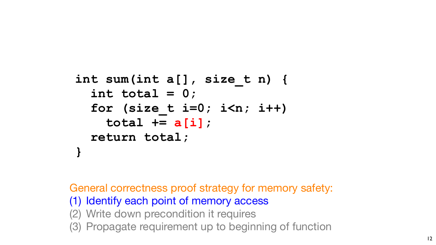12

### **int sum(int a[], size\_t n) { int total = 0; for (size\_t i=0; i<n; i++) total += a[i]; return total; }**

General correctness proof strategy for memory safety: (1) Identify each point of memory access (2) Write down precondition it requires (3) Propagate requirement up to beginning of function

- 
- 

- 
- 

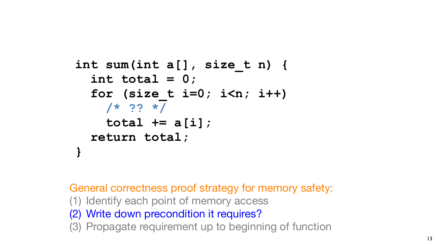

### **int sum(int a[], size\_t n) { int total = 0; for (size\_t i=0; i<n; i++) /\* ?? \*/ total += a[i]; return total; }**

General correctness proof strategy for memory safety: (1) Identify each point of memory access (2) Write down precondition it requires? (3) Propagate requirement up to beginning of function

- 
- 

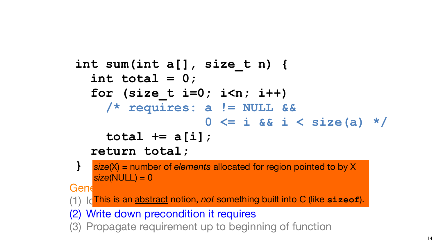14

### **int sum(int a[], size\_t n) { int total = 0; for (size\_t i=0; i<n; i++) /\* requires: a != NULL &&**

- 
- 
- **0 <= i && i < size(a) \*/**
- 

### **total += a[i]; return total;**

**}** *size*(X) = number of *elements* allocated for region pointed to by X *size*(NULL) = 0

 $Gen \epsilon$  correction of the memory safety for memory safety for memory safety:  $Gen \epsilon$ 

(1) Id<sup>This</sup> is an abstract notion, not something built into C (like sizeof).

(2) Write down precondition it requires (3) Propagate requirement up to beginning of function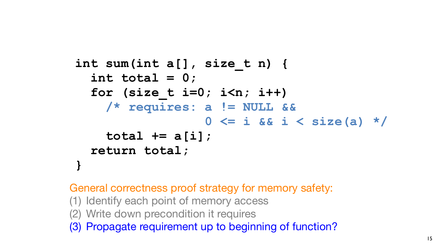15

### **int sum(int a[], size\_t n) { int total = 0; for (size\_t i=0; i<n; i++) /\* requires: a != NULL &&**

- 
- 
- **0 <= i && i < size(a) \*/**
- 



### **total += a[i]; return total; }**

General correctness proof strategy for memory safety: (1) Identify each point of memory access (2) Write down precondition it requires (3) Propagate requirement up to beginning of function?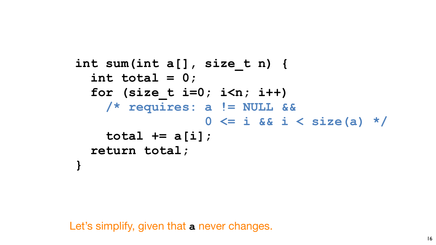

Let's simplify, given that **a** never changes.

### **int sum(int a[], size\_t n) { int total = 0; for (size\_t i=0; i<n; i++) /\* requires: a != NULL &&**

- 
- 
- **0 <= i && i < size(a) \*/**
- 

## **total += a[i]; return total;**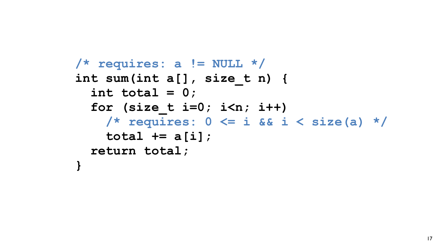

### **/\* requires: a != NULL \*/ int sum(int a[], size\_t n) { int total = 0; for (size\_t i=0; i<n; i++) total += a[i]; return total; }**

- 
- 
- **/\* requires: 0 <= i && i < size(a) \*/**
	-

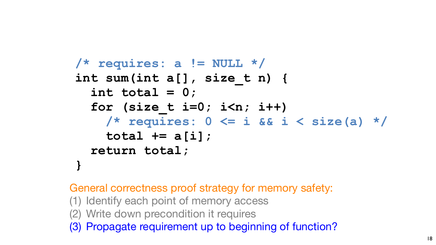

### **/\* requires: a != NULL \*/ int sum(int a[], size\_t n) { int total = 0; for (size\_t i=0; i<n; i++) total += a[i]; return total; }**

 **/\* requires: 0 <= i && i < size(a) \*/**

General correctness proof strategy for memory safety: (1) Identify each point of memory access (2) Write down precondition it requires (3) Propagate requirement up to beginning of function?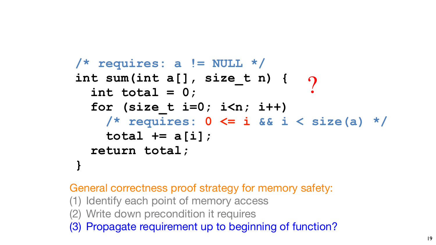19

General correctness proof strategy for memory safety: (1) Identify each point of memory access (2) Write down precondition it requires (3) Propagate requirement up to beginning of function?

?  **/\* requires: 0 <= i && i < size(a) \*/**



### **/\* requires: a != NULL \*/ int sum(int a[], size\_t n) { int total = 0; for (size\_t i=0; i<n; i++) total += a[i]; return total; }**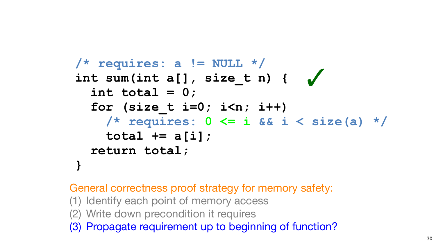

General correctness proof strategy for memory safety: (1) Identify each point of memory access (2) Write down precondition it requires (3) Propagate requirement up to beginning of function?

### ✓ **/\* requires: a != NULL \*/ int sum(int a[], size\_t n) { int total = 0; for (size\_t i=0; i<n; i++) /\* requires: 0 <= i && i < size(a) \*/ total += a[i]; return total; }**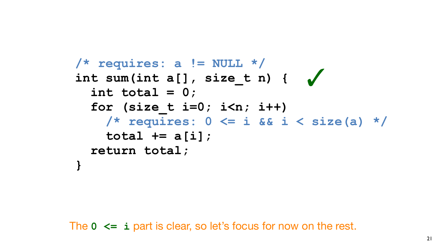21

The **0 <= i** part is clear, so let's focus for now on the rest.



#### ✓ **/\* requires: a != NULL \*/ int sum(int a[], size\_t n) { int total = 0; for (size\_t i=0; i<n; i++) /\* requires: 0 <= i && i < size(a) \*/ total += a[i]; return total; }**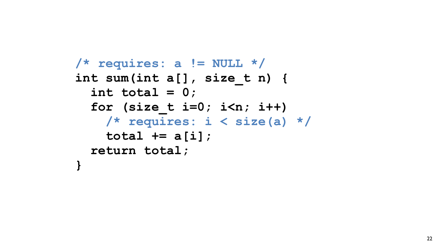

### **/\* requires: a != NULL \*/ int sum(int a[], size\_t n) { int total = 0; for (size\_t i=0; i<n; i++) total += a[i]; return total; }**

- 
- **/\* requires: i < size(a) \*/**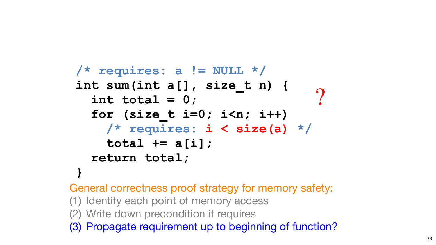

## **/\* requires: a != NULL \*/ int sum(int a[], size\_t n) { int total = 0; for (size\_t i=0; i<n; i++) total += a[i]; return total; }** (3) Propagate requirement up to beginning of tunctions)<br>
(3) Propagate requires:  $\frac{1}{2}$  <  $\frac{1}{2}$  x  $\frac{1}{2}$  and  $\frac{1}{2}$   $\frac{1}{2}$   $\frac{1}{2}$   $\frac{1}{2}$   $\frac{1}{2}$   $\frac{1}{2}$   $\frac{1}{2}$   $\frac{1}{2}$   $\frac{1}{2}$   $\frac{1}{2}$   $\$

 **/\* requires: i < size(a) \*/**

General correctness proof strategy for memory safety: (1) Identify each point of memory access (2) Write down precondition it requires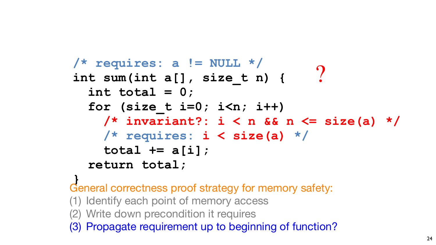

### **/\* requires: a != NULL \*/ int sum(int a[], size\_t n) { int total = 0; for (size\_t i=0; i<n; i++) /\* invariant?: i < n && n <= size(a) \*/ /\* requires: i < size(a) \*/ total += a[i]; return total;** ?

**}** General correctness proof strategy for memory safety: (1) Identify each point of memory access (2) Write down precondition it requires (3) Propagate requirement up to beginning of function?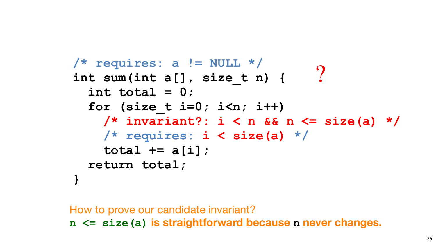

## ?

How to prove our candidate invariant?

**n <= size(a) is straightforward because n never changes.**

**/\* requires: a != NULL \*/ int sum(int a[], size\_t n) { int total = 0; for (size\_t i=0; i<n; i++) /\* requires: i < size(a) \*/ total += a[i]; return total; }**

 **/\* invariant?: i < n && n <= size(a) \*/**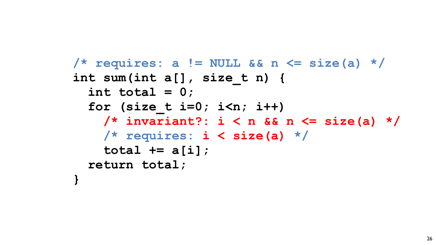

## **/\* requires: a != NULL && n <= size(a) \*/**

**int sum(int a[], size\_t n) { int total = 0; for (size\_t i=0; i<n; i++) total += a[i]; return total;**

- 
- **/\* invariant?: i < n && n <= size(a) \*/**
- **/\* requires: i < size(a) \*/**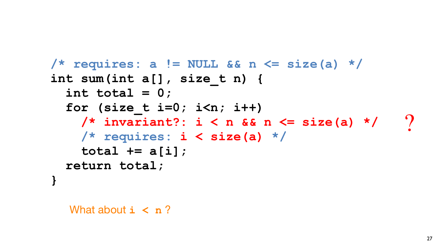**/\* requires: a != NULL && n <= size(a) \*/ int sum(int a[], size\_t n) { int total = 0; for (size\_t i=0; i<n; i++) /\* invariant?: i < n && n <= size(a) \*/ /\* requires: i < size(a) \*/ total += a[i]; return total; }**

What about  $i < n$ ?



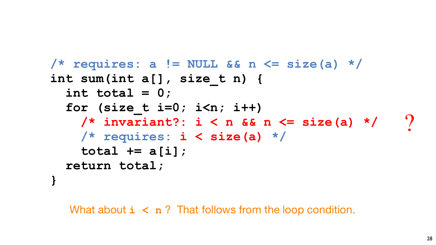**/\* requires: a != NULL && n <= size(a) \*/ int sum(int a[], size\_t n) { int total = 0; for (size\_t i=0; i<n; i++) /\* invariant?: i < n && n <= size(a) \*/ /\* requires: i < size(a) \*/ total += a[i]; return total; }**

What about  $\mathbf{i} < \mathbf{n}$ ? That follows from the loop condition.



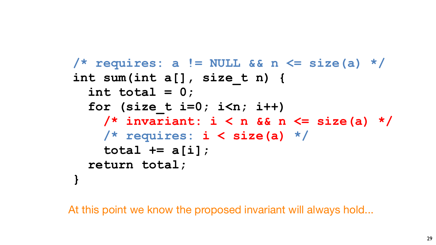**/\* requires: a != NULL && n <= size(a) \*/ int sum(int a[], size\_t n) { int total = 0; for (size\_t i=0; i<n; i++) /\* invariant: i < n && n <= size(a) \*/ /\* requires: i < size(a) \*/ total += a[i]; return total; }**



At this point we know the proposed invariant will always hold...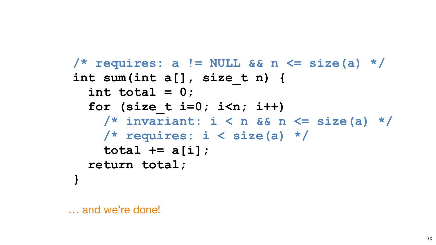

… and we're done!

**/\* requires: a != NULL && n <= size(a) \*/ int sum(int a[], size\_t n) { int total = 0; for (size\_t i=0; i<n; i++) /\* invariant: i < n && n <= size(a) \*/ /\* requires: i < size(a) \*/ total += a[i]; return total; }**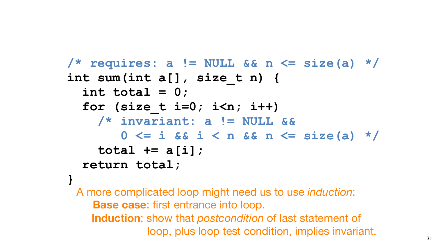

## **/\* requires: a != NULL && n <= size(a) \*/**

 **0 <= i && i < n && n <= size(a) \*/**

- **int sum(int a[], size\_t n) { int total = 0; for (size\_t i=0; i<n; i++) /\* invariant: a != NULL &&**
	- **total += a[i]; return total;**
- **} Base case**: first entrance into loop.

A more complicated loop might need us to use *induction*: **Induction**: show that *postcondition* of last statement of loop, plus loop test condition, implies invariant.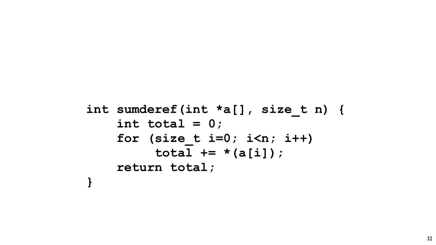

```
int sumderef(int *a[], size_t n) {
     for (size_t i=0; i<n; i++)
          total += *(a[i]);
```
 **int total = 0; return total;**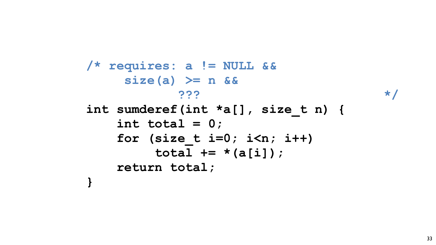

- **/\* requires: a != NULL && size(a) >= n && ??? \*/**
	-
- 

**int sumderef(int \*a[], size\_t n) { for (size\_t i=0; i<n; i++) total += \*(a[i]);**

- **int total = 0;**
- -
- **return total;**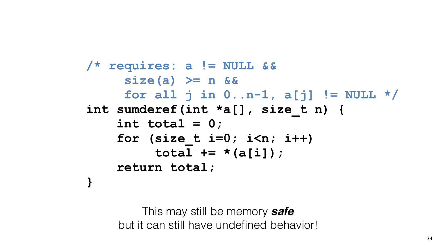

**/\* requires: a != NULL && size(a) >= n &&**

- **for all j in 0..n-1, a[j] != NULL \*/**
- **int sumderef(int \*a[], size\_t n) {**
	- **int total = 0;**
	- **for (size\_t i=0; i<n; i++)**
		- **total += \*(a[i]);**
	- **return total;**

**}**

### This may still be memory *safe* but it can still have undefined behavior!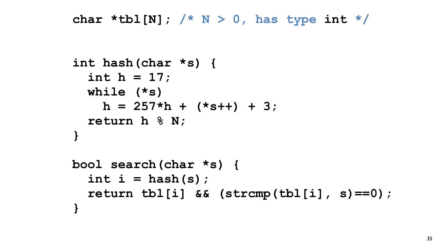

#### **char \*tbl[N]; /\* N > 0, has type int \*/**

**int hash(char \*s) { int h = 17; while (\*s) h = 257\*h + (\*s++) + 3; return h % N; }**

**bool search(char \*s) {**  $int i = hash(s)$ ;  **return tbl[i] && (strcmp(tbl[i], s)==0);**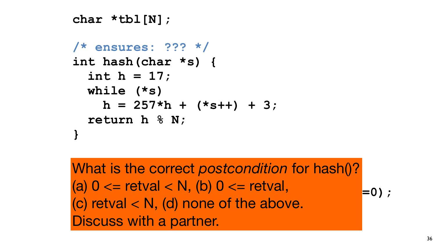

**/\* ensures: ??? \*/ int hash(char \*s) { int h = 17; while (\*s) h = 257\*h + (\*s++) + 3; return h % N; }**

What is the correct poster **1** interesting the set of the set of the set of the set of  $\mathbb{R}$  **return tbl[i] && (strcmp(tbl[i], s)==0); }** What is the correct *postcondition* for hash()? (a)  $0 \leq$  retval  $\leq$  N, (b)  $0 \leq$  retval, (c) retval < N, (d) none of the above. Discuss with a partner.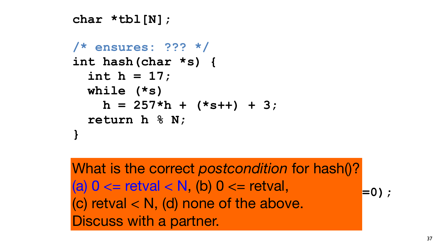

**/\* ensures: ??? \*/ int hash(char \*s) { int h = 17; while (\*s) h = 257\*h + (\*s++) + 3; return h % N; }**

What is the correct poster **1. intervention of the intervention of the intervention of the intervention of the intervention of the intervention of the intervention of the intervention of the intervention of the intervention of the intervention of (a)**  $V \leftarrow \text{I} \cup \text{I} \cup \text{a} \setminus \text{I} \cup \text{I} \cup \text{I} \cup \text{I} \cup \text{I} \cup \text{I} \cup \text{I} \cup \text{I} \cup \text{I} \cup \text{I} \cup \text{I} \cup \text{I} \cup \text{I} \cup \text{I} \cup \text{I} \cup \text{I} \cup \text{I} \cup \text{I} \cup \text{I} \cup \text{I} \cup \text{I} \cup \text{I} \cup \text{I} \cup \text{I} \cup \text{I} \cup \text{I} \cup \text{I} \cup$ **}** What is the correct *postcondition* for hash()? (a)  $0 \leq$  retval  $\leq$  N, (b)  $0 \leq$  retval, (c) retval < N, (d) none of the above. Discuss with a partner.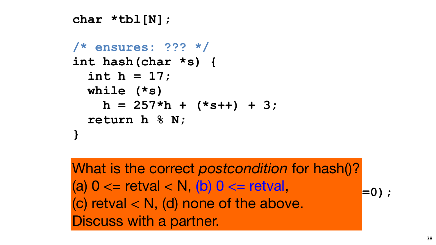**/\* ensures: ??? \*/ int hash(char \*s) { int h = 17; while (\*s) h = 257\*h + (\*s++) + 3; return h % N; }**

What is the correct poster **1** interesting the set of the set of the set of  $\mathbb{R}$  **return tbl[i] && (strcmp(tbl[i], s)==0); }** What is the correct *postcondition* for hash()? (a)  $0 \leq$  retval  $\leq N$ , (b)  $0 \leq$  retval, (c) retval < N, (d) none of the above. Discuss with a partner.



![](_page_34_Picture_5.jpeg)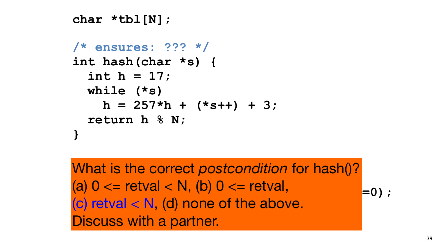**/\* ensures: ??? \*/ int hash(char \*s) { int h = 17; while (\*s) h = 257\*h + (\*s++) + 3; return h % N; }**

What is the correct poster **1** interesting the set of the set of the set of the set of  $\mathbb{R}$ **(a)**  $V \leftarrow \text{ICV}$ al  $\left\{ V, W \right\}$   $V' \leftarrow \text{ICV}$ al,  $\left\{ =0 \right\}$ ; **}** What is the correct *postcondition* for hash()? (a)  $0 \leq$  retval  $\leq$  N, (b)  $0 \leq$  retval, (c) retval  $< N$ , (d) none of the above. Discuss with a partner.

![](_page_35_Picture_5.jpeg)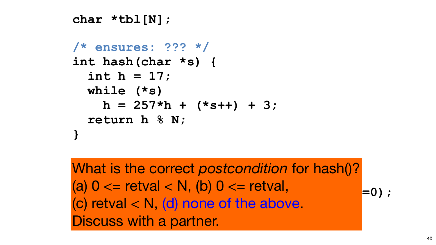**/\* ensures: ??? \*/ int hash(char \*s) { int h = 17; while (\*s) h = 257\*h + (\*s++) + 3; return h % N; }**

What is the correct poster **1** interesting the set of the set of the set of the set of  $\mathbb{R}$  **return tbl[i] && (strcmp(tbl[i], s)==0); }** What is the correct *postcondition* for hash()? (a)  $0 \leq$  retval  $\leq$  N, (b)  $0 \leq$  retval, (c) retval < N, (d) none of the above. Discuss with a partner.

![](_page_36_Picture_3.jpeg)

![](_page_36_Picture_5.jpeg)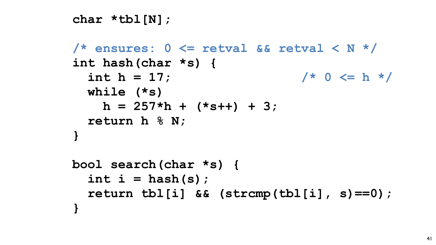41

## **/\* ensures: 0 <= retval && retval < N \*/**   $int h = 17$ ;  $\frac{1}{x} 0 \le h \le \frac{1}{x}$

### **char \*tbl[N];**

**int hash(char \*s) { while (\*s)**   $h = 257*h + (*s++) + 3;$  **return h % N; }**

**bool search(char \*s) { int i = hash(s);**

 **return tbl[i] && (strcmp(tbl[i], s)==0);**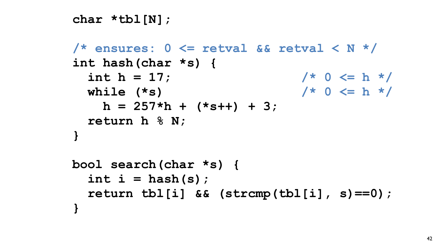![](_page_38_Picture_6.jpeg)

## **/\* ensures: 0 <= retval && retval < N \*/**  int  $h = 17$ ;  $\frac{1}{x} \cdot 0 \leq h \cdot \frac{1}{x}$  **while (\*s) /\* 0 <= h \*/**

**bool search(char \*s) {**  $int i = hash(s)$ ;

**int hash(char \*s) {**  $h = 257*h + (*s++) + 3;$  **return h % N; }**

- 
- **return tbl[i] && (strcmp(tbl[i], s)==0);**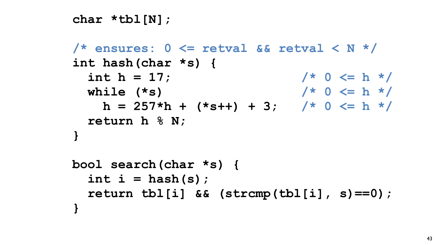![](_page_39_Picture_6.jpeg)

### **/\* ensures: 0 <= retval && retval < N \*/**   $int h = 17;$  /\* 0 <= h \*/  **while (\*s) /\* 0 <= h \*/**  $h = 257*h + (*s++) + 3;$  /\* 0 <= h \*/

### **char \*tbl[N];**

**bool search(char \*s) {**  $int i = hash(s)$ ;

**int hash(char \*s) { return h % N; }**

 **return tbl[i] && (strcmp(tbl[i], s)==0);**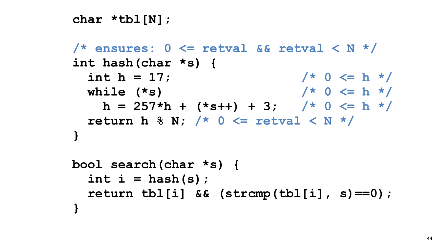![](_page_40_Picture_7.jpeg)

**bool search(char \*s) {**  $int i = hash(s)$ ;

**/\* ensures: 0 <= retval && retval < N \*/ int hash(char \*s) {**  $int h = 17;$  /\* 0 <= h \*/  **while (\*s) /\* 0 <= h \*/**  $h = 257*h + (*s++) + 3;$  /\* 0 <= h \*/  **return h % N; /\* 0 <= retval < N \*/ }**

- 
- 
- **return tbl[i] && (strcmp(tbl[i], s)==0);**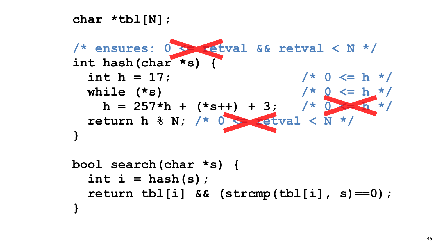# **char \*tbl[N]; int hash(char \*s) { }**

![](_page_41_Picture_2.jpeg)

**bool search(char \*s) {**  $int i = hash(s)$ ;  **return tbl[i] && (strcmp(tbl[i], s)==0); }**

![](_page_41_Picture_3.jpeg)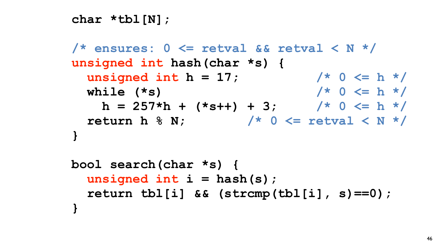- **/\* ensures: 0 <= retval && retval < N \*/ unsigned int hash(char \*s) { unsigned int h = 17; /\* 0 <= h \*/ while (\*s) /\* 0 <= h \*/**  $h = 257*h + (*s++) + 3;$  /\* 0 <= h \*/  **return h % N; /\* 0 <= retval < N \*/ }**
- **bool search(char \*s) {**
	- **unsigned int i = hash(s);**
		- **return tbl[i] && (strcmp(tbl[i], s)==0);**

![](_page_42_Picture_6.jpeg)